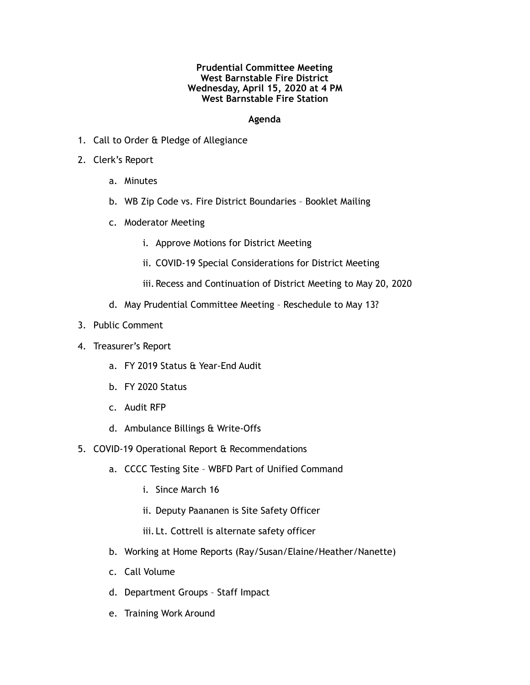## **Prudential Committee Meeting West Barnstable Fire District Wednesday, April 15, 2020 at 4 PM West Barnstable Fire Station**

## **Agenda**

- 1. Call to Order & Pledge of Allegiance
- 2. Clerk's Report
	- a. Minutes
	- b. WB Zip Code vs. Fire District Boundaries Booklet Mailing
	- c. Moderator Meeting
		- i. Approve Motions for District Meeting
		- ii. COVID-19 Special Considerations for District Meeting
		- iii. Recess and Continuation of District Meeting to May 20, 2020
	- d. May Prudential Committee Meeting Reschedule to May 13?
- 3. Public Comment
- 4. Treasurer's Report
	- a. FY 2019 Status & Year-End Audit
	- b. FY 2020 Status
	- c. Audit RFP
	- d. Ambulance Billings & Write-Offs
- 5. COVID-19 Operational Report & Recommendations
	- a. CCCC Testing Site WBFD Part of Unified Command
		- i. Since March 16
		- ii. Deputy Paananen is Site Safety Officer
		- iii. Lt. Cottrell is alternate safety officer
	- b. Working at Home Reports (Ray/Susan/Elaine/Heather/Nanette)
	- c. Call Volume
	- d. Department Groups Staff Impact
	- e. Training Work Around